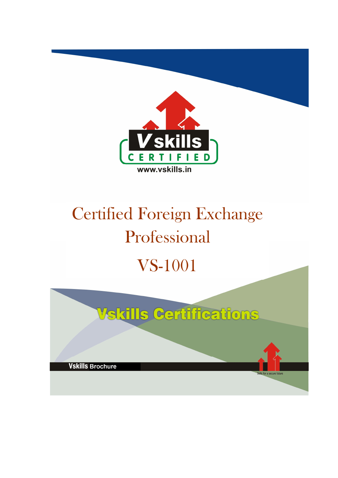

# Certified Foreign Exchange Professional VS-1001

|                         | <b>Vskills Certifications</b> |  |
|-------------------------|-------------------------------|--|
|                         |                               |  |
| <b>Vskills Brochure</b> |                               |  |
|                         | Skills for a secure future    |  |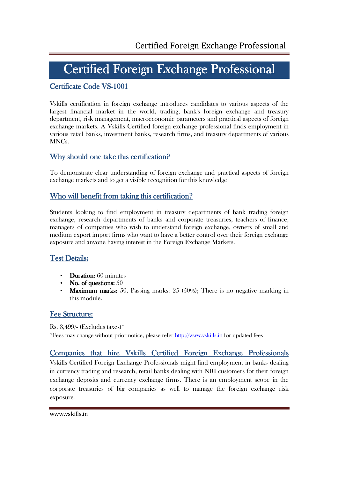# Certified Foreign Exchange Professional

# Certificate Code VS-1001

Vskills certification in foreign exchange introduces candidates to various aspects of the largest financial market in the world, trading, bank's foreign exchange and treasury department, risk management, macroeconomic parameters and practical aspects of foreign exchange markets. A Vskills Certified foreign exchange professional finds employment in various retail banks, investment banks, research firms, and treasury departments of various MNCs.

# Why should one take this certification?

To demonstrate clear understanding of foreign exchange and practical aspects of foreign exchange markets and to get a visible recognition for this knowledge

# Who will benefit from taking this certification?

Students looking to find employment in treasury departments of bank trading foreign exchange, research departments of banks and corporate treasuries, teachers of finance, managers of companies who wish to understand foreign exchange, owners of small and medium export import firms who want to have a better control over their foreign exchange exposure and anyone having interest in the Foreign Exchange Markets.

# Test Details:

- Duration:  $60$  minutes
- No. of questions:  $50$
- Maximum marks: 50, Passing marks:  $25 \cdot (50\%)$ ; There is no negative marking in this module.

# Fee Structure:

Rs. 3,499/- (Excludes taxes)\* \*Fees may change without prior notice, please refer http://www.vskills.in for updated fees

# Companies that hire Vskills Certified Foreign Exchange Professionals

Vskills Certified Foreign Exchange Professionals might find employment in banks dealing in currency trading and research, retail banks dealing with NRI customers for their foreign exchange deposits and currency exchange firms. There is an employment scope in the corporate treasuries of big companies as well to manage the foreign exchange risk exposure.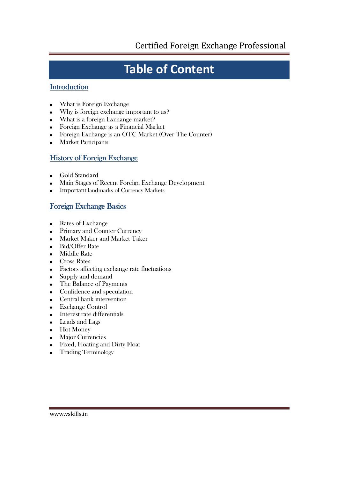# **Table of Content**

# **Introduction**

- What is Foreign Exchange
- Why is foreign exchange important to us?
- What is a foreign Exchange market?
- Foreign Exchange as a Financial Market
- Foreign Exchange is an OTC Market (Over The Counter)
- **Market Participants**

# History of Foreign Exchange

- **Gold Standard**
- Main Stages of Recent Foreign Exchange Development
- Important landmarks of Currency Markets

# Foreign Exchange Basics

- Rates of Exchange
- **Primary and Counter Currency**
- Market Maker and Market Taker
- Bid/Offer Rate
- **Middle Rate**
- Cross Rates
- Factors affecting exchange rate fluctuations
- Supply and demand
- The Balance of Payments
- Confidence and speculation
- **Central bank intervention**
- Exchange Control
- **Interest rate differentials**
- **Leads and Lags**
- **Hot Money**
- **Major Currencies**
- Fixed, Floating and Dirty Float
- **Trading Terminology**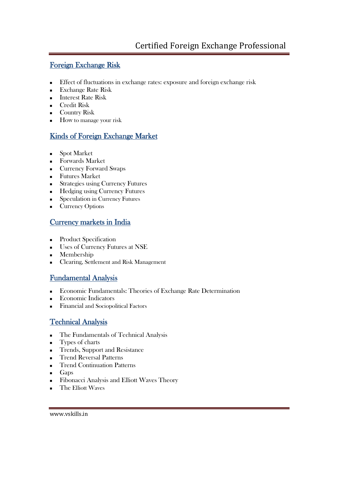# Foreign Exchange Risk

- Effect of fluctuations in exchange rates: exposure and foreign exchange risk
- Exchange Rate Risk
- **Interest Rate Risk**
- **Credit Risk**
- Country Risk
- **How** to manage your risk

# Kinds of Foreign Exchange Market

- **Spot Market**
- **Forwards Market**
- **Currency Forward Swaps**
- **Futures Market**
- Strategies using Currency Futures
- Hedging using Currency Futures
- **Speculation in Currency Futures**
- Currency Options

# Currency markets in India

- **Product Specification**
- Uses of Currency Futures at NSE
- **Membership**
- Clearing, Settlement and Risk Management

# Fundamental Analysis

- Economic Fundamentals: Theories of Exchange Rate Determination
- Economic Indicators
- Financial and Sociopolitical Factors

# Technical Analysis

- The Fundamentals of Technical Analysis
- **Types of charts**
- Trends, Support and Resistance
- **Trend Reversal Patterns**
- **Trend Continuation Patterns**
- $\blacksquare$  Gaps
- Fibonacci Analysis and Elliott Waves Theory
- The Elliott Waves

www.vskills.in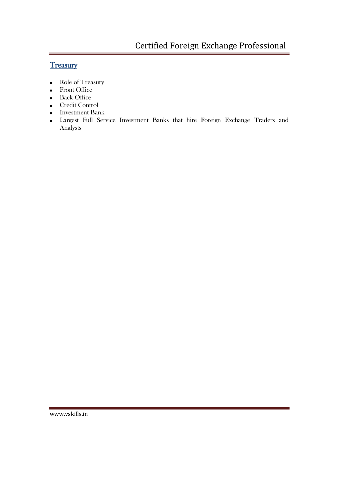# **Treasury**

- Role of Treasury
- **Front Office**
- **Back Office**
- Credit Control
- **Investment Bank**
- Largest Full Service Investment Banks that hire Foreign Exchange Traders and Analysts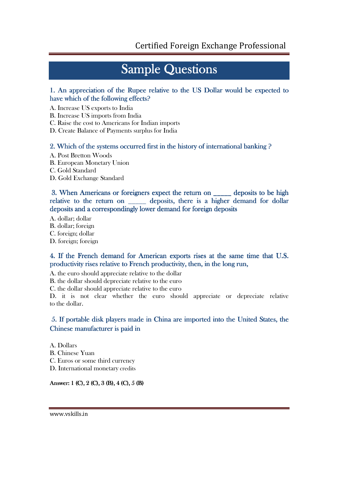# **Sample Questions**

# 1. An appreciation of the Rupee relative to the US Dollar would be expected to have which of the following effects?

A. Increase US exports to India

B. Increase US imports from India

C. Raise the cost to Americans for Indian imports

D. Create Balance of Payments surplus for India

# 2. Which of the systems occurred first in the history of international banking  $\Omega$

- A. Post Bretton Woods
- B. European Monetary Union
- C. Gold Standard
- D. Gold Exchange Standard

# 3. When Americans or foreigners expect the return on \_\_\_\_\_ deposits to be high relative to the return on \_\_\_\_\_ deposits, there is a higher demand for dollar deposits and a correspondingly lower demand for foreign deposits

A. dollar; dollar

- B. dollar; foreign
- C. foreign; dollar
- D. foreign; foreign

# 4. If the French demand for American exports rises at the same time that U.S. productivity rises relative to French productivity, then, in the long run,

- A. the euro should appreciate relative to the dollar
- B. the dollar should depreciate relative to the euro

C. the dollar should appreciate relative to the euro

D. it is not clear whether the euro should appreciate or depreciate relative to the dollar.

# 5. If portable disk players made in China are imported into the United States, the Chinese manufacturer is paid in

A. Dollars

- B. Chinese Yuan
- C. Euros or some third currency
- D. International monetary credits

### Answer: 1 (C), 2 (C), 3 (B), 4 (C), 5 (B)